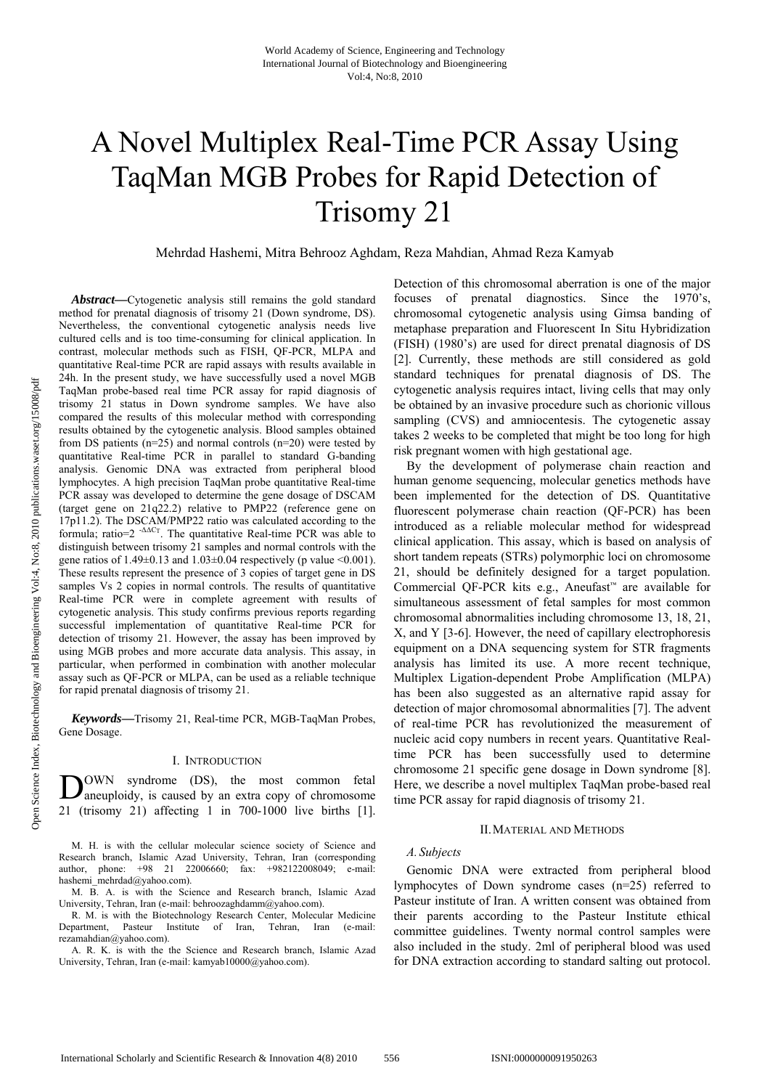# A Novel Multiplex Real-Time PCR Assay Using TaqMan MGB Probes for Rapid Detection of Trisomy 21

Mehrdad Hashemi, Mitra Behrooz Aghdam, Reza Mahdian, Ahmad Reza Kamyab

*Abstract***—**Cytogenetic analysis still remains the gold standard method for prenatal diagnosis of trisomy 21 (Down syndrome, DS). Nevertheless, the conventional cytogenetic analysis needs live cultured cells and is too time-consuming for clinical application. In contrast, molecular methods such as FISH, QF-PCR, MLPA and quantitative Real-time PCR are rapid assays with results available in 24h. In the present study, we have successfully used a novel MGB TaqMan probe-based real time PCR assay for rapid diagnosis of trisomy 21 status in Down syndrome samples. We have also compared the results of this molecular method with corresponding results obtained by the cytogenetic analysis. Blood samples obtained from DS patients (n=25) and normal controls (n=20) were tested by quantitative Real-time PCR in parallel to standard G-banding analysis. Genomic DNA was extracted from peripheral blood lymphocytes. A high precision TaqMan probe quantitative Real-time PCR assay was developed to determine the gene dosage of DSCAM (target gene on 21q22.2) relative to PMP22 (reference gene on 17p11.2). The DSCAM/PMP22 ratio was calculated according to the formula; ratio= $2^{-\Delta\Delta C_T}$ . The quantitative Real-time PCR was able to distinguish between trisomy 21 samples and normal controls with the gene ratios of  $1.49\pm0.13$  and  $1.03\pm0.04$  respectively (p value <0.001). These results represent the presence of 3 copies of target gene in DS samples Vs 2 copies in normal controls. The results of quantitative Real-time PCR were in complete agreement with results of cytogenetic analysis. This study confirms previous reports regarding successful implementation of quantitative Real-time PCR for detection of trisomy 21. However, the assay has been improved by using MGB probes and more accurate data analysis. This assay, in particular, when performed in combination with another molecular assay such as QF-PCR or MLPA, can be used as a reliable technique for rapid prenatal diagnosis of trisomy 21.

*Keywords***—**Trisomy 21, Real-time PCR, MGB-TaqMan Probes, Gene Dosage.

### I. INTRODUCTION

OWN syndrome (DS), the most common fetal aneuploidy, is caused by an extra copy of chromosome 21 (trisomy 21) affecting 1 in 700-1000 live births [1]. D

M. H. is with the cellular molecular science society of Science and Research branch, Islamic Azad University, Tehran, Iran (corresponding author, phone: +98 21 22006660; fax: +982122008049; e-mail: hashemi\_mehrdad@yahoo.com).

M. B. A. is with the Science and Research branch, Islamic Azad University, Tehran, Iran (e-mail: behroozaghdamm@yahoo.com).

R. M. is with the Biotechnology Research Center, Molecular Medicine<br>
Department Pasteur Institute of Iran Tehran Iran (e-mail: of Iran, Tehran, Iran (e-mail: rezamahdian@yahoo.com).

A. R. K. is with the the Science and Research branch, Islamic Azad University, Tehran, Iran (e-mail: kamyab10000@yahoo.com).

Detection of this chromosomal aberration is one of the major focuses of prenatal diagnostics. Since the 1970's, chromosomal cytogenetic analysis using Gimsa banding of metaphase preparation and Fluorescent In Situ Hybridization (FISH) (1980's) are used for direct prenatal diagnosis of DS [2]. Currently, these methods are still considered as gold standard techniques for prenatal diagnosis of DS. The cytogenetic analysis requires intact, living cells that may only be obtained by an invasive procedure such as chorionic villous sampling (CVS) and amniocentesis. The cytogenetic assay takes 2 weeks to be completed that might be too long for high risk pregnant women with high gestational age.

By the development of polymerase chain reaction and human genome sequencing, molecular genetics methods have been implemented for the detection of DS. Quantitative fluorescent polymerase chain reaction (QF-PCR) has been introduced as a reliable molecular method for widespread clinical application. This assay, which is based on analysis of short tandem repeats (STRs) polymorphic loci on chromosome 21, should be definitely designed for a target population. Commercial QF-PCR kits e.g., Aneufast™ are available for simultaneous assessment of fetal samples for most common chromosomal abnormalities including chromosome 13, 18, 21, X, and Y [3-6]. However, the need of capillary electrophoresis equipment on a DNA sequencing system for STR fragments analysis has limited its use. A more recent technique, Multiplex Ligation-dependent Probe Amplification (MLPA) has been also suggested as an alternative rapid assay for detection of major chromosomal abnormalities [7]. The advent of real-time PCR has revolutionized the measurement of nucleic acid copy numbers in recent years. Quantitative Realtime PCR has been successfully used to determine chromosome 21 specific gene dosage in Down syndrome [8]. Here, we describe a novel multiplex TaqMan probe-based real time PCR assay for rapid diagnosis of trisomy 21.

#### II.MATERIAL AND METHODS

#### *A. Subjects*

Genomic DNA were extracted from peripheral blood lymphocytes of Down syndrome cases (n=25) referred to Pasteur institute of Iran. A written consent was obtained from their parents according to the Pasteur Institute ethical committee guidelines. Twenty normal control samples were also included in the study. 2ml of peripheral blood was used for DNA extraction according to standard salting out protocol.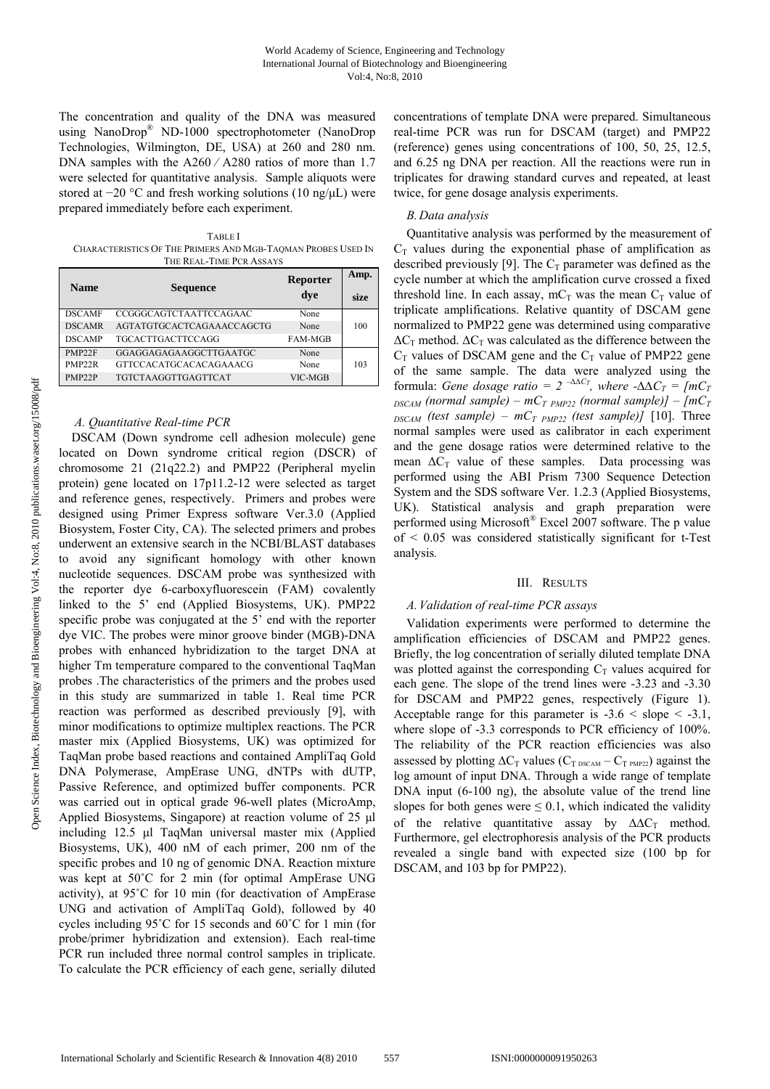The concentration and quality of the DNA was measured using NanoDrop® ND-1000 spectrophotometer (NanoDrop Technologies, Wilmington, DE, USA) at 260 and 280 nm. DNA samples with the A260 / A280 ratios of more than 1.7 were selected for quantitative analysis. Sample aliquots were stored at −20 °C and fresh working solutions (10 ng/µL) were prepared immediately before each experiment.

TABLE I CHARACTERISTICS OF THE PRIMERS AND MGB-TAQMAN PROBES USED IN THE REAL-TIME PCR ASSAYS

| <b>Name</b>         | Sequence                   | Reporter<br>dve | Amp.<br>size |
|---------------------|----------------------------|-----------------|--------------|
| <b>DSCAMF</b>       | CCGGGCAGTCTAATTCCAGAAC     | None            |              |
| <b>DSCAMR</b>       | AGTATGTGCACTCAGAAACCAGCTG  | None            | 100          |
| <b>DSCAMP</b>       | <b>TGCACTTGACTTCCAGG</b>   | <b>FAM-MGB</b>  |              |
| PMP <sub>22F</sub>  | GGAGGAGAGAAGGCTTGAATGC     | None            |              |
| PMP <sub>22</sub> R | GTTCCACATGCACACAGAAACG     | None            | 103          |
| PMP <sub>22</sub> P | <b>TGTCTAAGGTTGAGTTCAT</b> | VIC-MGB         |              |

# *A. Quantitative Real-time PCR*

DSCAM (Down syndrome cell adhesion molecule) gene located on Down syndrome critical region (DSCR) of chromosome 21 (21q22.2) and PMP22 (Peripheral myelin protein) gene located on 17p11.2-12 were selected as target and reference genes, respectively. Primers and probes were designed using Primer Express software Ver.3.0 (Applied Biosystem, Foster City, CA). The selected primers and probes underwent an extensive search in the NCBI/BLAST databases to avoid any significant homology with other known nucleotide sequences. DSCAM probe was synthesized with the reporter dye 6-carboxyfluorescein (FAM) covalently linked to the 5' end (Applied Biosystems, UK). PMP22 specific probe was conjugated at the 5' end with the reporter dye VIC. The probes were minor groove binder (MGB)-DNA probes with enhanced hybridization to the target DNA at higher Tm temperature compared to the conventional TaqMan probes .The characteristics of the primers and the probes used in this study are summarized in table 1. Real time PCR reaction was performed as described previously [9], with minor modifications to optimize multiplex reactions. The PCR master mix (Applied Biosystems, UK) was optimized for TaqMan probe based reactions and contained AmpliTaq Gold DNA Polymerase, AmpErase UNG, dNTPs with dUTP, Passive Reference, and optimized buffer components. PCR was carried out in optical grade 96-well plates (MicroAmp, Applied Biosystems, Singapore) at reaction volume of 25 μl including 12.5 μl TaqMan universal master mix (Applied Biosystems, UK), 400 nM of each primer, 200 nm of the specific probes and 10 ng of genomic DNA. Reaction mixture was kept at 50˚C for 2 min (for optimal AmpErase UNG activity), at 95˚C for 10 min (for deactivation of AmpErase UNG and activation of AmpliTaq Gold), followed by 40 cycles including 95˚C for 15 seconds and 60˚C for 1 min (for probe/primer hybridization and extension). Each real-time PCR run included three normal control samples in triplicate. To calculate the PCR efficiency of each gene, serially diluted concentrations of template DNA were prepared. Simultaneous real-time PCR was run for DSCAM (target) and PMP22 (reference) genes using concentrations of 100, 50, 25, 12.5, and 6.25 ng DNA per reaction. All the reactions were run in triplicates for drawing standard curves and repeated, at least twice, for gene dosage analysis experiments.

# *B.Data analysis*

Quantitative analysis was performed by the measurement of  $C_T$  values during the exponential phase of amplification as described previously [9]. The  $C_T$  parameter was defined as the cycle number at which the amplification curve crossed a fixed threshold line. In each assay,  $mC_T$  was the mean  $C_T$  value of triplicate amplifications. Relative quantity of DSCAM gene normalized to PMP22 gene was determined using comparative  $\Delta C_T$  method.  $\Delta C_T$  was calculated as the difference between the  $C_T$  values of DSCAM gene and the  $C_T$  value of PMP22 gene of the same sample. The data were analyzed using the formula: *Gene dosage ratio = 2* <sup> $-\Delta \Delta C_T$ </sup>, where  $-\Delta \Delta C_T = [mC_T]$  $DSCAM$  (normal sample) –  $mC_T$   $PMP22$  (normal sample)] –  $[mC_T]$  $_{DSCAM}$  (test sample) –  $mC_T$   $_{PMP22}$  (test sample)] [10]. Three normal samples were used as calibrator in each experiment and the gene dosage ratios were determined relative to the mean  $\Delta C_T$  value of these samples. Data processing was performed using the ABI Prism 7300 Sequence Detection System and the SDS software Ver. 1.2.3 (Applied Biosystems, UK). Statistical analysis and graph preparation were performed using Microsoft® Excel 2007 software. The p value of < 0.05 was considered statistically significant for t-Test analysis*.* 

# III. RESULTS

# *A.Validation of real-time PCR assays*

Validation experiments were performed to determine the amplification efficiencies of DSCAM and PMP22 genes. Briefly, the log concentration of serially diluted template DNA was plotted against the corresponding  $C_T$  values acquired for each gene. The slope of the trend lines were -3.23 and -3.30 for DSCAM and PMP22 genes, respectively (Figure 1). Acceptable range for this parameter is  $-3.6 <$  slope  $< -3.1$ , where slope of -3.3 corresponds to PCR efficiency of 100%. The reliability of the PCR reaction efficiencies was also assessed by plotting  $\Delta C_T$  values  $(C_{T \text{ DSCAM}} - C_{T \text{ PMP22}})$  against the log amount of input DNA. Through a wide range of template DNA input (6-100 ng), the absolute value of the trend line slopes for both genes were  $\leq 0.1$ , which indicated the validity of the relative quantitative assay by  $\Delta \Delta C_T$  method. Furthermore, gel electrophoresis analysis of the PCR products revealed a single band with expected size (100 bp for DSCAM, and 103 bp for PMP22).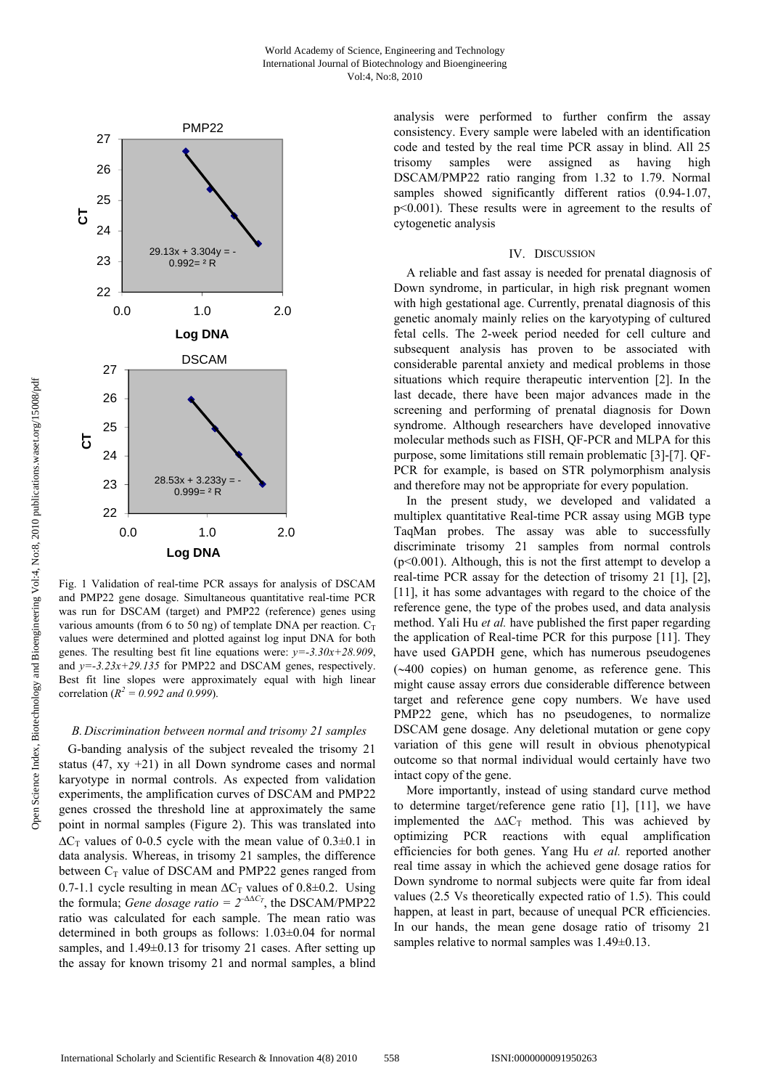

Fig. 1 Validation of real-time PCR assays for analysis of DSCAM and PMP22 gene dosage. Simultaneous quantitative real-time PCR was run for DSCAM (target) and PMP22 (reference) genes using various amounts (from 6 to 50 ng) of template DNA per reaction.  $C_T$ values were determined and plotted against log input DNA for both genes. The resulting best fit line equations were: *y=-3.30x+28.909*, and *y=-3.23x+29.135* for PMP22 and DSCAM genes, respectively. Best fit line slopes were approximately equal with high linear correlation ( $R^2 = 0.992$  and 0.999).

# *B.Discrimination between normal and trisomy 21 samples*

G-banding analysis of the subject revealed the trisomy 21 status  $(47, xy +21)$  in all Down syndrome cases and normal karyotype in normal controls. As expected from validation experiments, the amplification curves of DSCAM and PMP22 genes crossed the threshold line at approximately the same point in normal samples (Figure 2). This was translated into  $\Delta C_T$  values of 0-0.5 cycle with the mean value of 0.3 $\pm$ 0.1 in data analysis. Whereas, in trisomy 21 samples, the difference between  $C_T$  value of DSCAM and PMP22 genes ranged from 0.7-1.1 cycle resulting in mean  $\Delta C_T$  values of 0.8±0.2. Using the formula; *Gene dosage ratio* =  $2^{-\Delta\Delta C_T}$ , the DSCAM/PMP22 ratio was calculated for each sample. The mean ratio was determined in both groups as follows: 1.03±0.04 for normal samples, and  $1.49\pm0.13$  for trisomy 21 cases. After setting up the assay for known trisomy 21 and normal samples, a blind

analysis were performed to further confirm the assay consistency. Every sample were labeled with an identification code and tested by the real time PCR assay in blind. All 25 trisomy samples were assigned as having high DSCAM/PMP22 ratio ranging from 1.32 to 1.79. Normal samples showed significantly different ratios (0.94-1.07, p<0.001). These results were in agreement to the results of cytogenetic analysis

### IV. DISCUSSION

A reliable and fast assay is needed for prenatal diagnosis of Down syndrome, in particular, in high risk pregnant women with high gestational age. Currently, prenatal diagnosis of this genetic anomaly mainly relies on the karyotyping of cultured fetal cells. The 2-week period needed for cell culture and subsequent analysis has proven to be associated with considerable parental anxiety and medical problems in those situations which require therapeutic intervention [2]. In the last decade, there have been major advances made in the screening and performing of prenatal diagnosis for Down syndrome. Although researchers have developed innovative molecular methods such as FISH, QF-PCR and MLPA for this purpose, some limitations still remain problematic [3]-[7]. QF-PCR for example, is based on STR polymorphism analysis and therefore may not be appropriate for every population.

In the present study, we developed and validated a multiplex quantitative Real-time PCR assay using MGB type TaqMan probes. The assay was able to successfully discriminate trisomy 21 samples from normal controls (p<0.001). Although, this is not the first attempt to develop a real-time PCR assay for the detection of trisomy 21 [1], [2], [11], it has some advantages with regard to the choice of the reference gene, the type of the probes used, and data analysis method. Yali Hu *et al.* have published the first paper regarding the application of Real-time PCR for this purpose [11]. They have used GAPDH gene, which has numerous pseudogenes (∼400 copies) on human genome, as reference gene. This might cause assay errors due considerable difference between target and reference gene copy numbers. We have used PMP22 gene, which has no pseudogenes, to normalize DSCAM gene dosage. Any deletional mutation or gene copy variation of this gene will result in obvious phenotypical outcome so that normal individual would certainly have two intact copy of the gene.

More importantly, instead of using standard curve method to determine target/reference gene ratio [1], [11], we have implemented the  $\Delta \Delta C_T$  method. This was achieved by optimizing PCR reactions with equal amplification efficiencies for both genes. Yang Hu *et al.* reported another real time assay in which the achieved gene dosage ratios for Down syndrome to normal subjects were quite far from ideal values (2.5 Vs theoretically expected ratio of 1.5). This could happen, at least in part, because of unequal PCR efficiencies. In our hands, the mean gene dosage ratio of trisomy 21 samples relative to normal samples was  $1.49\pm0.13$ .